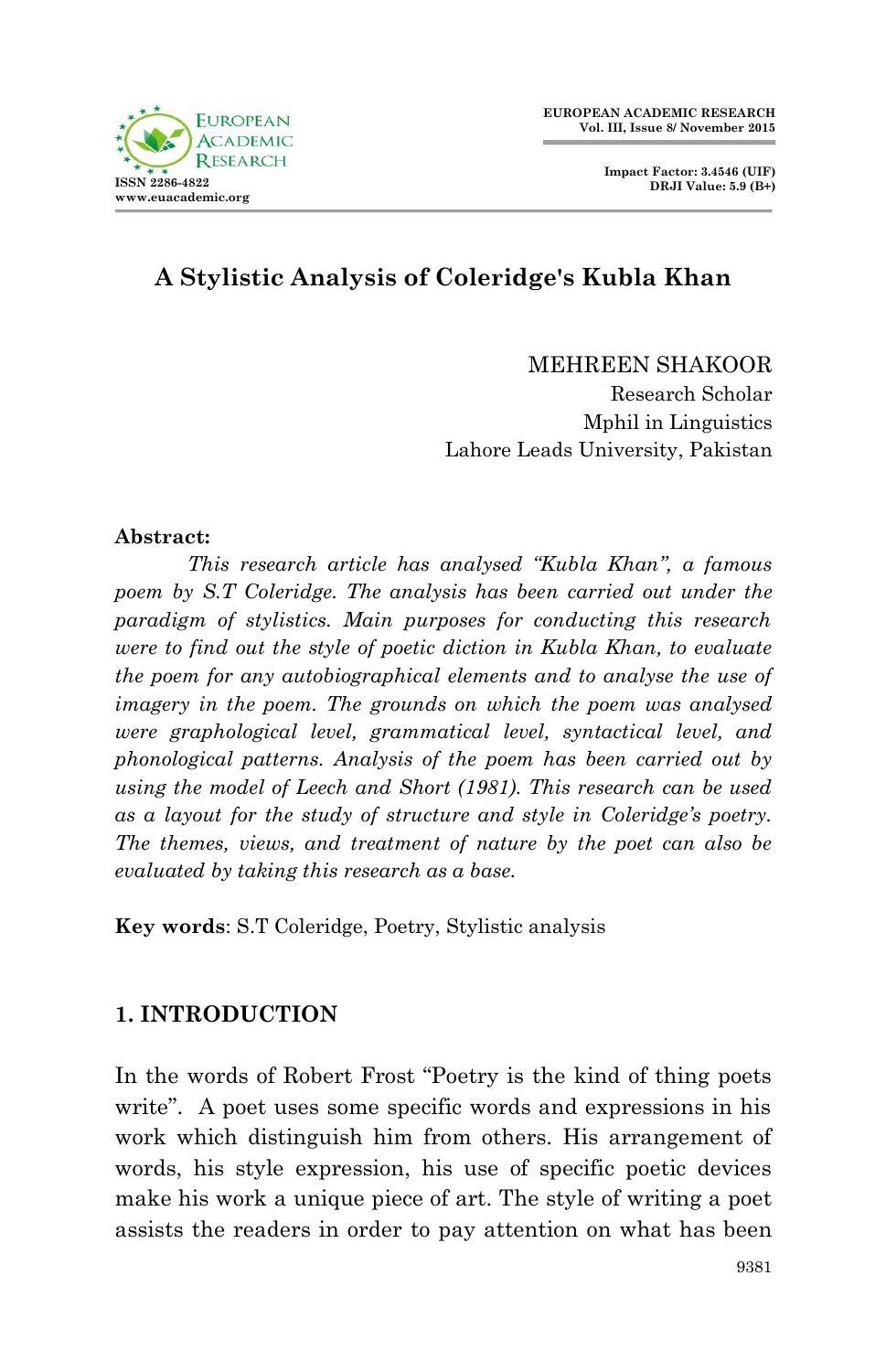

**Impact Factor: 3.4546 (UIF) DRJI Value: 5.9 (B+)**

# **A Stylistic Analysis of Coleridge's Kubla Khan**

MEHREEN SHAKOOR

Research Scholar Mphil in Linguistics Lahore Leads University, Pakistan

#### **Abstract:**

*This research article has analysed "Kubla Khan", a famous poem by S.T Coleridge. The analysis has been carried out under the paradigm of stylistics. Main purposes for conducting this research were to find out the style of poetic diction in Kubla Khan, to evaluate the poem for any autobiographical elements and to analyse the use of imagery in the poem. The grounds on which the poem was analysed were graphological level, grammatical level, syntactical level, and phonological patterns. Analysis of the poem has been carried out by using the model of Leech and Short (1981). This research can be used as a layout for the study of structure and style in Coleridge's poetry. The themes, views, and treatment of nature by the poet can also be evaluated by taking this research as a base.*

**Key words**: S.T Coleridge, Poetry, Stylistic analysis

### **1. INTRODUCTION**

In the words of Robert Frost "Poetry is the kind of thing poets write". A poet uses some specific words and expressions in his work which distinguish him from others. His arrangement of words, his style expression, his use of specific poetic devices make his work a unique piece of art. The style of writing a poet assists the readers in order to pay attention on what has been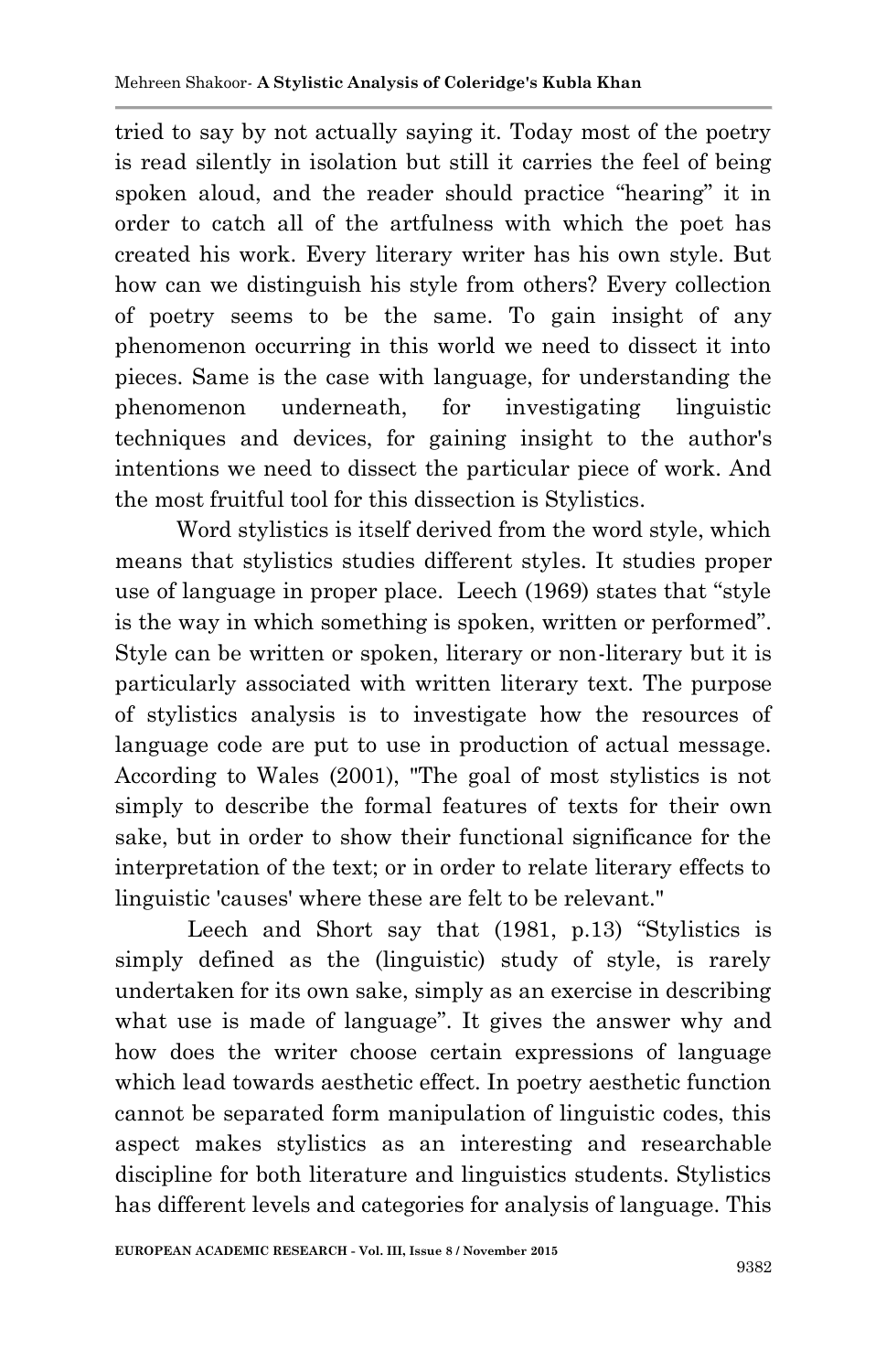tried to say by not actually saying it. Today most of the poetry is read silently in isolation but still it carries the feel of being spoken aloud, and the reader should practice "hearing" it in order to catch all of the artfulness with which the poet has created his work. Every literary writer has his own style. But how can we distinguish his style from others? Every collection of poetry seems to be the same. To gain insight of any phenomenon occurring in this world we need to dissect it into pieces. Same is the case with language, for understanding the phenomenon underneath, for investigating linguistic techniques and devices, for gaining insight to the author's intentions we need to dissect the particular piece of work. And the most fruitful tool for this dissection is Stylistics.

 Word stylistics is itself derived from the word style, which means that stylistics studies different styles. It studies proper use of language in proper place. Leech (1969) states that "style is the way in which something is spoken, written or performed". Style can be written or spoken, literary or non-literary but it is particularly associated with written literary text. The purpose of stylistics analysis is to investigate how the resources of language code are put to use in production of actual message. According to Wales (2001), "The goal of most stylistics is not simply to describe the formal features of texts for their own sake, but in order to show their functional significance for the interpretation of the text; or in order to relate literary effects to linguistic 'causes' where these are felt to be relevant."

Leech and Short say that (1981, p.13) "Stylistics is simply defined as the (linguistic) study of style, is rarely undertaken for its own sake, simply as an exercise in describing what use is made of language". It gives the answer why and how does the writer choose certain expressions of language which lead towards aesthetic effect. In poetry aesthetic function cannot be separated form manipulation of linguistic codes, this aspect makes stylistics as an interesting and researchable discipline for both literature and linguistics students. Stylistics has different levels and categories for analysis of language. This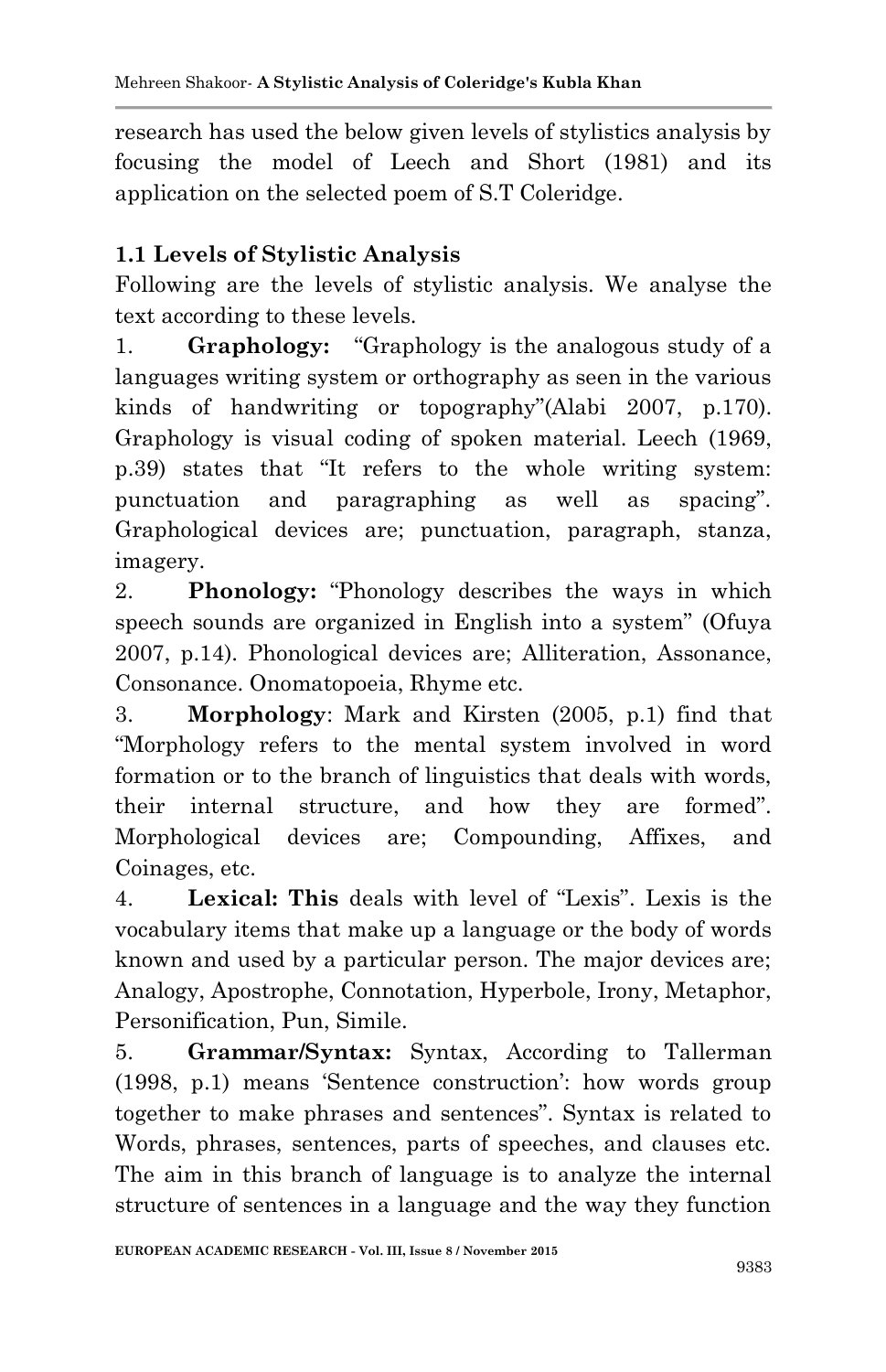research has used the below given levels of stylistics analysis by focusing the model of Leech and Short (1981) and its application on the selected poem of S.T Coleridge.

# **1.1 Levels of Stylistic Analysis**

Following are the levels of stylistic analysis. We analyse the text according to these levels.

1. **Graphology:** "Graphology is the analogous study of a languages writing system or orthography as seen in the various kinds of handwriting or topography"(Alabi 2007, p.170). Graphology is visual coding of spoken material. Leech (1969, p.39) states that "It refers to the whole writing system: punctuation and paragraphing as well as spacing". Graphological devices are; punctuation, paragraph, stanza, imagery.

2. **Phonology:** "Phonology describes the ways in which speech sounds are organized in English into a system" (Ofuya 2007, p.14). Phonological devices are; Alliteration, Assonance, Consonance. Onomatopoeia, Rhyme etc.

3. **Morphology**: Mark and Kirsten (2005, p.1) find that "Morphology refers to the mental system involved in word formation or to the branch of linguistics that deals with words, their internal structure, and how they are formed". Morphological devices are; Compounding, Affixes, and Coinages, etc.

4. **Lexical: This** deals with level of "Lexis". Lexis is the vocabulary items that make up a language or the body of words known and used by a particular person. The major devices are; Analogy, Apostrophe, Connotation, Hyperbole, Irony, Metaphor, Personification, Pun, Simile.

5. **Grammar/Syntax:** Syntax, According to Tallerman (1998, p.1) means "Sentence construction": how words group together to make phrases and sentences". Syntax is related to Words, phrases, sentences, parts of speeches, and clauses etc. The aim in this branch of language is to analyze the internal structure of sentences in a language and the way they function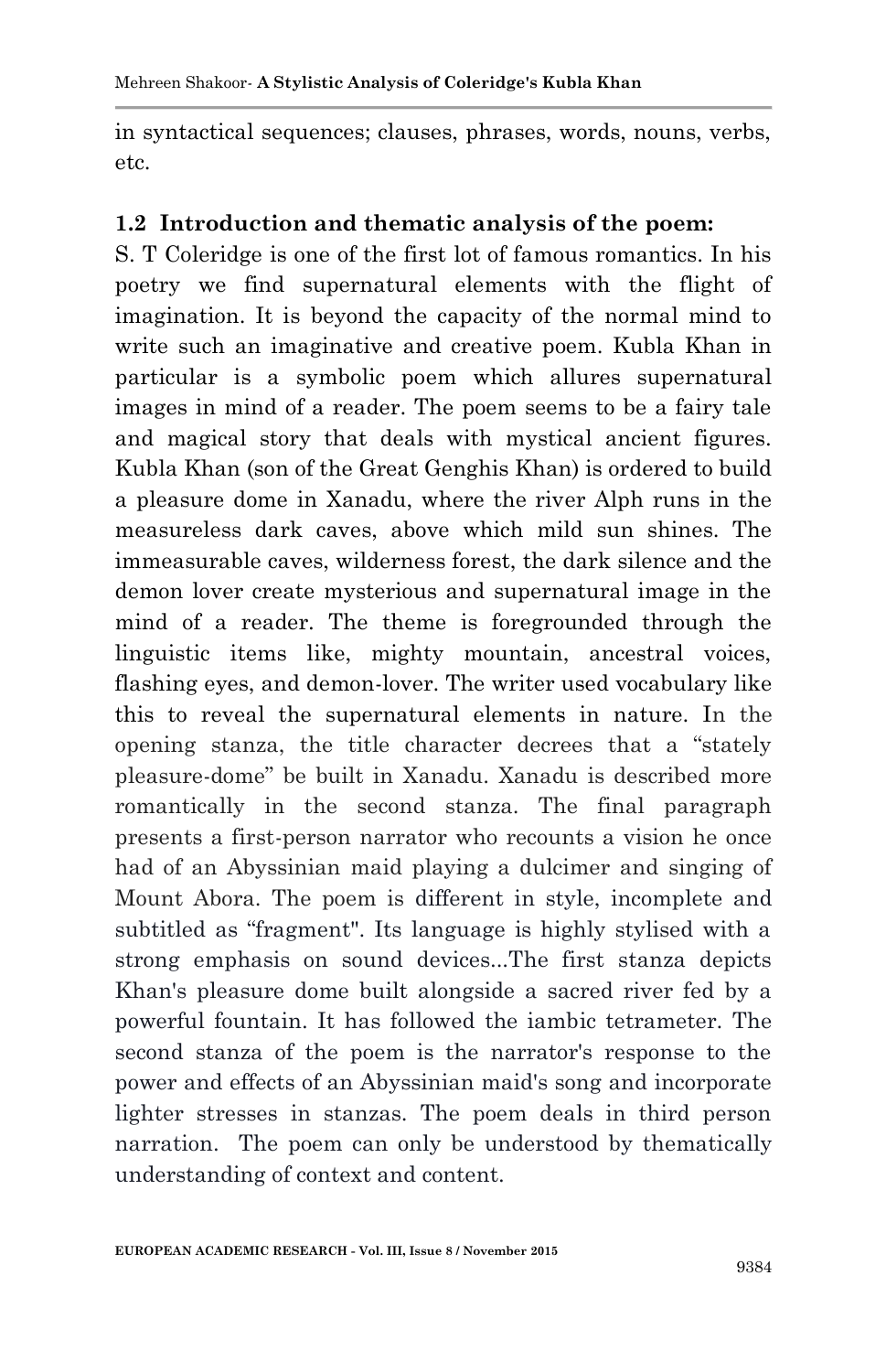in syntactical sequences; clauses, phrases, words, nouns, verbs, etc.

#### **1.2 Introduction and thematic analysis of the poem:**

S. T Coleridge is one of the first lot of famous romantics. In his poetry we find supernatural elements with the flight of imagination. It is beyond the capacity of the normal mind to write such an imaginative and creative poem. Kubla Khan in particular is a symbolic poem which allures supernatural images in mind of a reader. The poem seems to be a fairy tale and magical story that deals with mystical ancient figures. Kubla Khan (son of the Great Genghis Khan) is ordered to build a pleasure dome in Xanadu, where the river Alph runs in the measureless dark caves, above which mild sun shines. The immeasurable caves, wilderness forest, the dark silence and the demon lover create mysterious and supernatural image in the mind of a reader. The theme is foregrounded through the linguistic items like, mighty mountain, ancestral voices, flashing eyes, and demon-lover. The writer used vocabulary like this to reveal the supernatural elements in nature. In the opening stanza, the title character decrees that a "stately pleasure-dome" be built in Xanadu. Xanadu is described more romantically in the second stanza. The final paragraph presents a first-person narrator who recounts a vision he once had of an Abyssinian maid playing a dulcimer and singing of Mount Abora. The poem is different in style, incomplete and subtitled as "fragment". Its language is highly stylised with a strong emphasis on sound devices...The first stanza depicts Khan's pleasure dome built alongside a sacred river fed by a powerful fountain. It has followed the iambic tetrameter. The second stanza of the poem is the narrator's response to the power and effects of an Abyssinian maid's song and incorporate lighter stresses in stanzas. The poem deals in third person narration. The poem can only be understood by thematically understanding of context and content.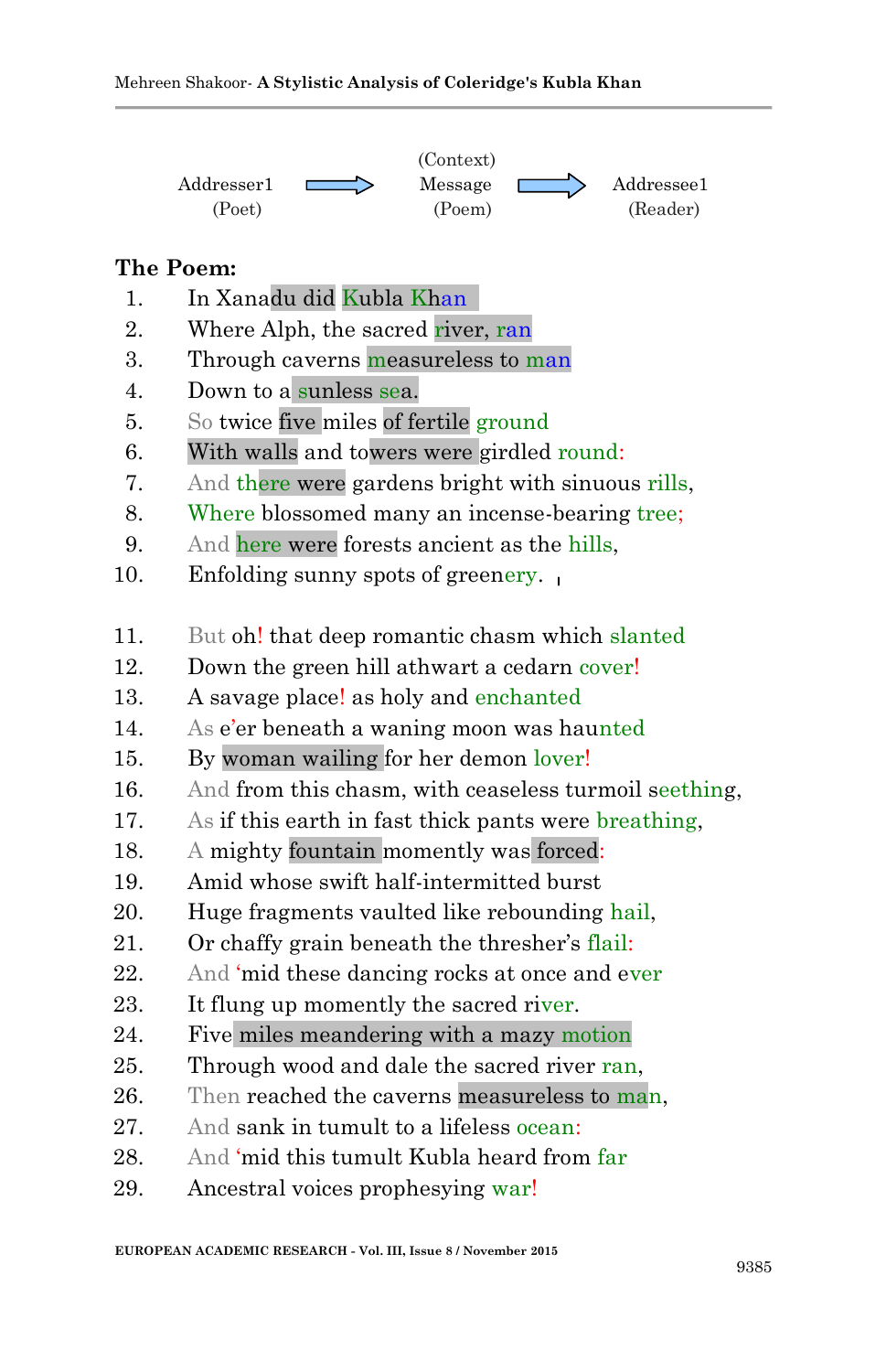

#### **The Poem:**

- 1. In Xanadu did Kubla Khan
- 2. Where Alph, the sacred river, ran
- 3. Through caverns measureless to man
- 4. Down to a sunless sea.
- 5. So twice five miles of fertile ground
- 6. With walls and towers were girdled round:
- 7. And there were gardens bright with sinuous rills,
- 8. Where blossomed many an incense-bearing tree;
- 9. And here were forests ancient as the hills,
- 10. Enfolding sunny spots of greenery.
- 11. But oh! that deep romantic chasm which slanted
- 12. Down the green hill athwart a cedarn cover!
- 13. A savage place! as holy and enchanted
- 14. As e'er beneath a waning moon was haunted
- 15. By woman wailing for her demon lover!
- 16. And from this chasm, with ceaseless turmoil seething,
- 17. As if this earth in fast thick pants were breathing,
- 18. A mighty fountain momently was forced:
- 19. Amid whose swift half-intermitted burst
- 20. Huge fragments vaulted like rebounding hail,
- 21. Or chaffy grain beneath the thresher"s flail:
- 22. And 'mid these dancing rocks at once and ever
- 23. It flung up momently the sacred river.
- 24. Five miles meandering with a mazy motion
- 25. Through wood and dale the sacred river ran,
- 26. Then reached the caverns measureless to man.
- 27. And sank in tumult to a lifeless ocean:
- 28. And "mid this tumult Kubla heard from far
- 29. Ancestral voices prophesying war!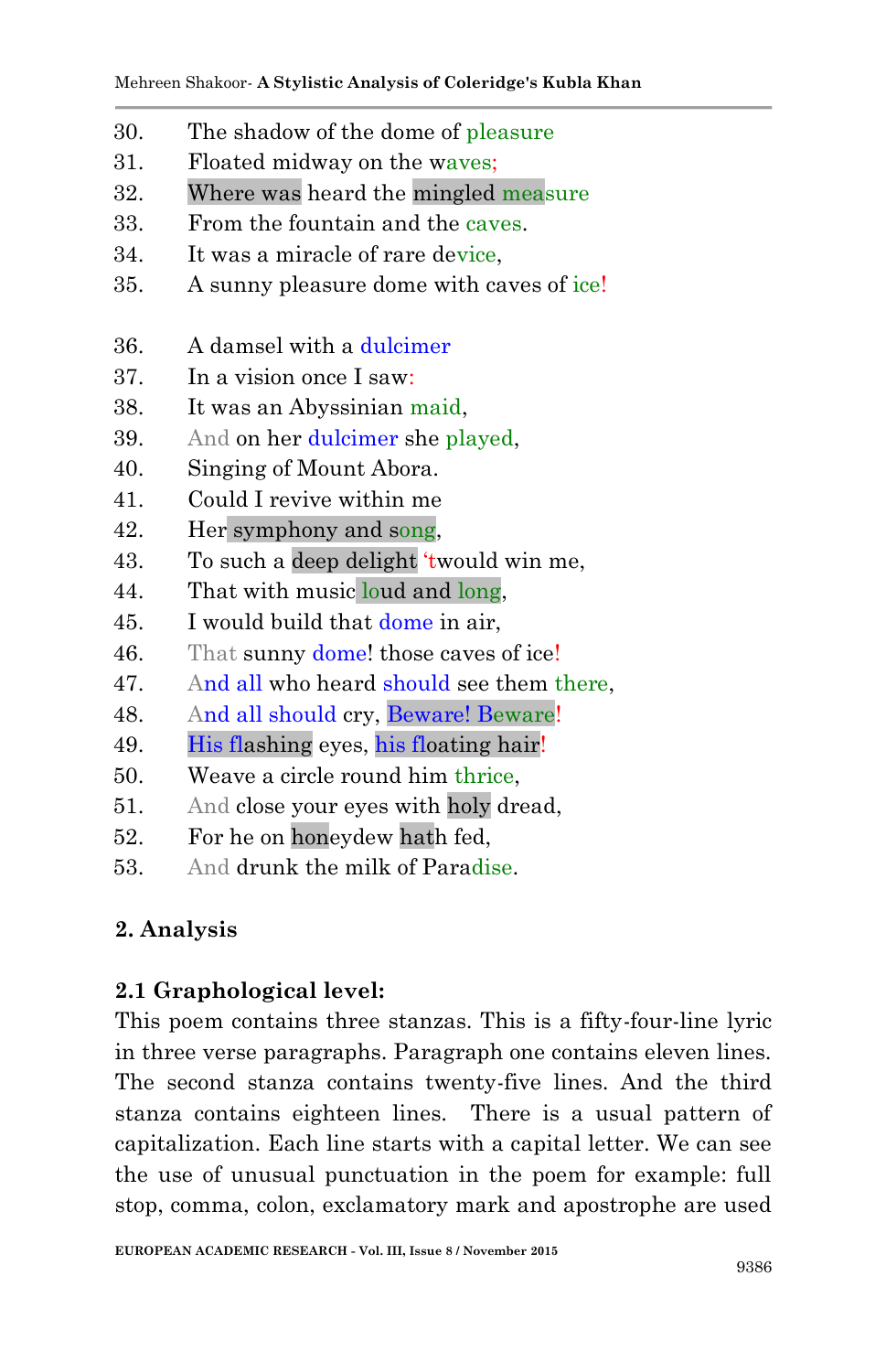- 30. The shadow of the dome of pleasure
- 31. Floated midway on the waves;
- 32. Where was heard the mingled measure
- 33. From the fountain and the caves.
- 34. It was a miracle of rare device,
- 35. A sunny pleasure dome with caves of ice!
- 36. A damsel with a dulcimer
- 37. In a vision once I saw:
- 38. It was an Abyssinian maid,
- 39. And on her dulcimer she played,
- 40. Singing of Mount Abora.
- 41. Could I revive within me
- 42. Her symphony and song,
- 43. To such a deep delight "twould win me,
- 44. That with music loud and long,
- 45. I would build that dome in air,
- 46. That sunny dome! those caves of ice!
- 47. And all who heard should see them there,
- 48. And all should cry, Beware! Beware!
- 49. His flashing eyes, his floating hair!
- 50. Weave a circle round him thrice,
- 51. And close your eyes with holy dread,
- 52. For he on honeydew hath fed,
- 53. And drunk the milk of Paradise.

## **2. Analysis**

## **2.1 Graphological level:**

This poem contains three stanzas. This is a fifty-four-line lyric in three verse paragraphs. Paragraph one contains eleven lines. The second stanza contains twenty-five lines. And the third stanza contains eighteen lines. There is a usual pattern of capitalization. Each line starts with a capital letter. We can see the use of unusual punctuation in the poem for example: full stop, comma, colon, exclamatory mark and apostrophe are used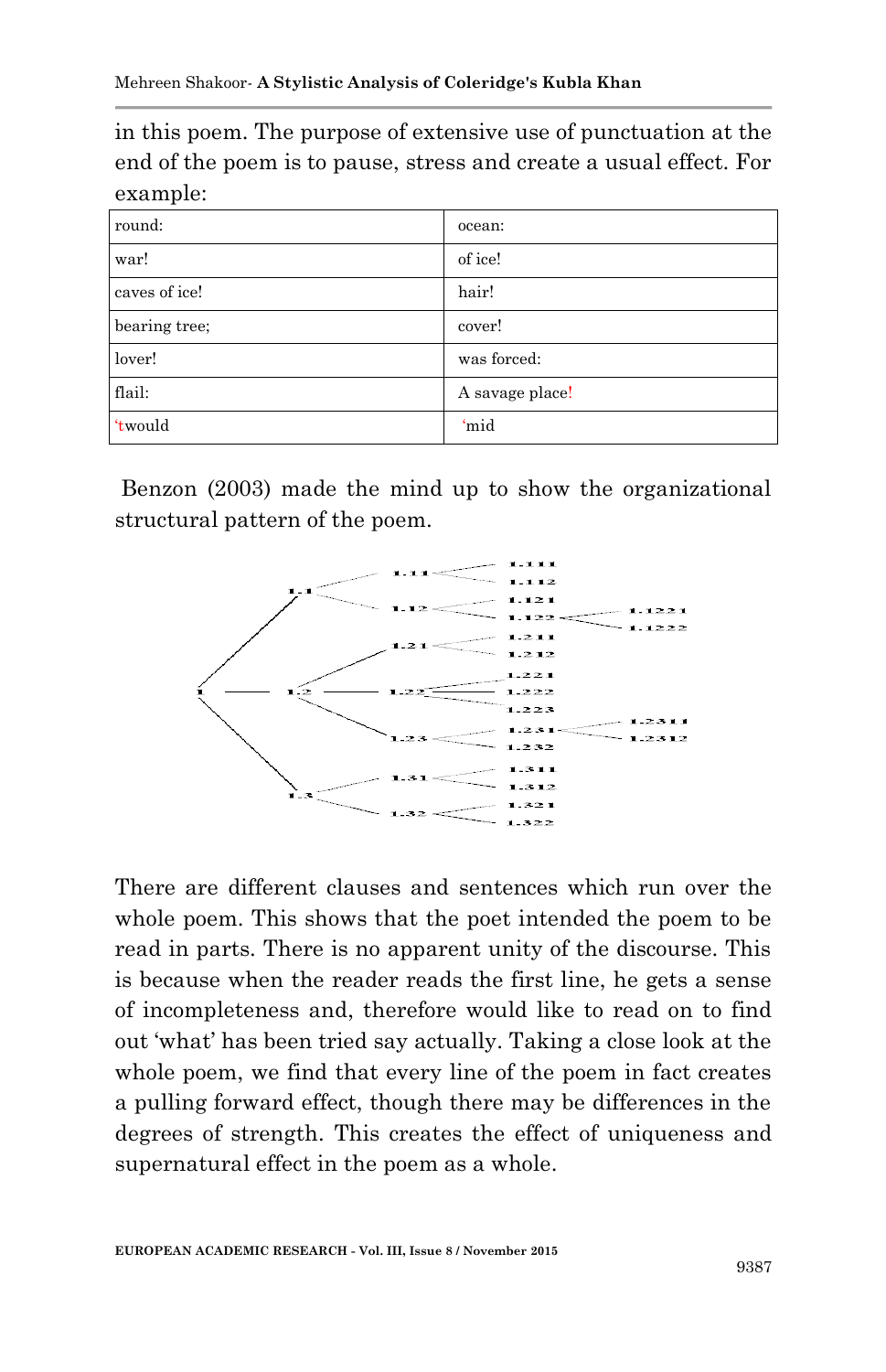in this poem. The purpose of extensive use of punctuation at the end of the poem is to pause, stress and create a usual effect. For example:

| round:        | ocean:          |
|---------------|-----------------|
| war!          | of ice!         |
| caves of ice! | hair!           |
| bearing tree; | cover!          |
| lover!        | was forced:     |
| flail:        | A savage place! |
| 'twould       | 'mid            |

Benzon (2003) made the mind up to show the organizational structural pattern of the poem.



There are different clauses and sentences which run over the whole poem. This shows that the poet intended the poem to be read in parts. There is no apparent unity of the discourse. This is because when the reader reads the first line, he gets a sense of incompleteness and, therefore would like to read on to find out "what" has been tried say actually. Taking a close look at the whole poem, we find that every line of the poem in fact creates a pulling forward effect, though there may be differences in the degrees of strength. This creates the effect of uniqueness and supernatural effect in the poem as a whole.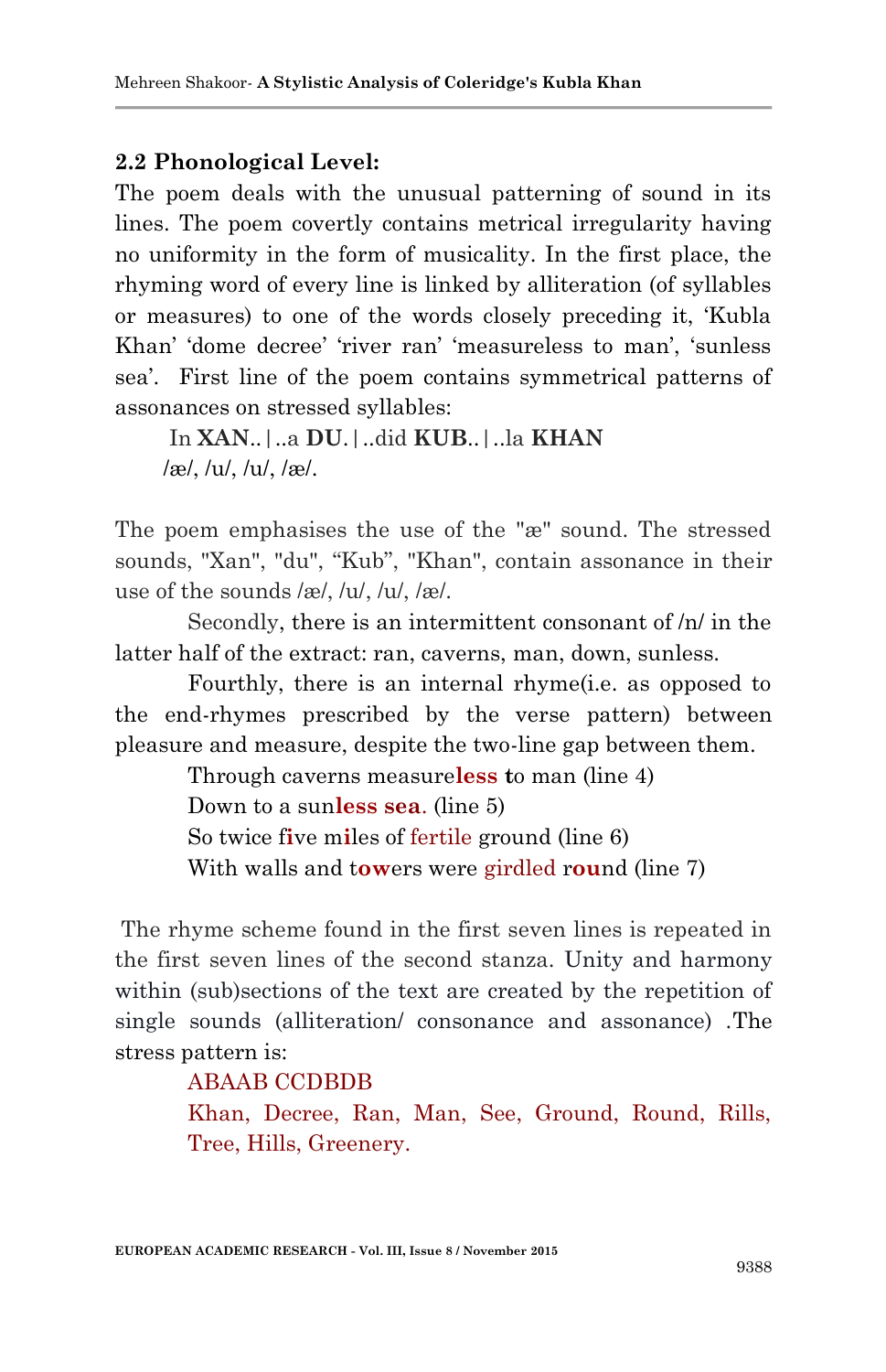### **2.2 Phonological Level:**

The poem deals with the unusual patterning of sound in its lines. The poem covertly contains metrical irregularity having no uniformity in the form of musicality. In the first place, the rhyming word of every line is linked by alliteration (of syllables or measures) to one of the words closely preceding it, "Kubla Khan' 'dome decree' 'river ran' 'measureless to man', 'sunless sea'. First line of the poem contains symmetrical patterns of assonances on stressed syllables:

In **XAN**..|..a **DU**.|..did **KUB**..|..la **KHAN** /æ/, /u/, /u/, /æ/.

The poem emphasises the use of the "æ" sound. The stressed sounds, "Xan", "du", "Kub", "Khan", contain assonance in their use of the sounds /æ/, /u/, /u/, /æ/.

Secondly, there is an intermittent consonant of /n/ in the latter half of the extract: ran, caverns, man, down, sunless.

Fourthly, there is an internal rhyme(i.e. as opposed to the end-rhymes prescribed by the verse pattern) between pleasure and measure, despite the two-line gap between them.

Through caverns measure**less t**o man (line 4)

Down to a sun**less sea**. (line 5)

So twice f**i**ve m**i**les of fertile ground (line 6)

With walls and t**ow**ers were girdled r**ou**nd (line 7)

The rhyme scheme found in the first seven lines is repeated in the first seven lines of the second stanza. Unity and harmony within (sub)sections of the text are created by the repetition of single sounds (alliteration/ consonance and assonance) .The stress pattern is:

### ABAAB CCDBDB

Khan, Decree, Ran, Man, See, Ground, Round, Rills, Tree, Hills, Greenery.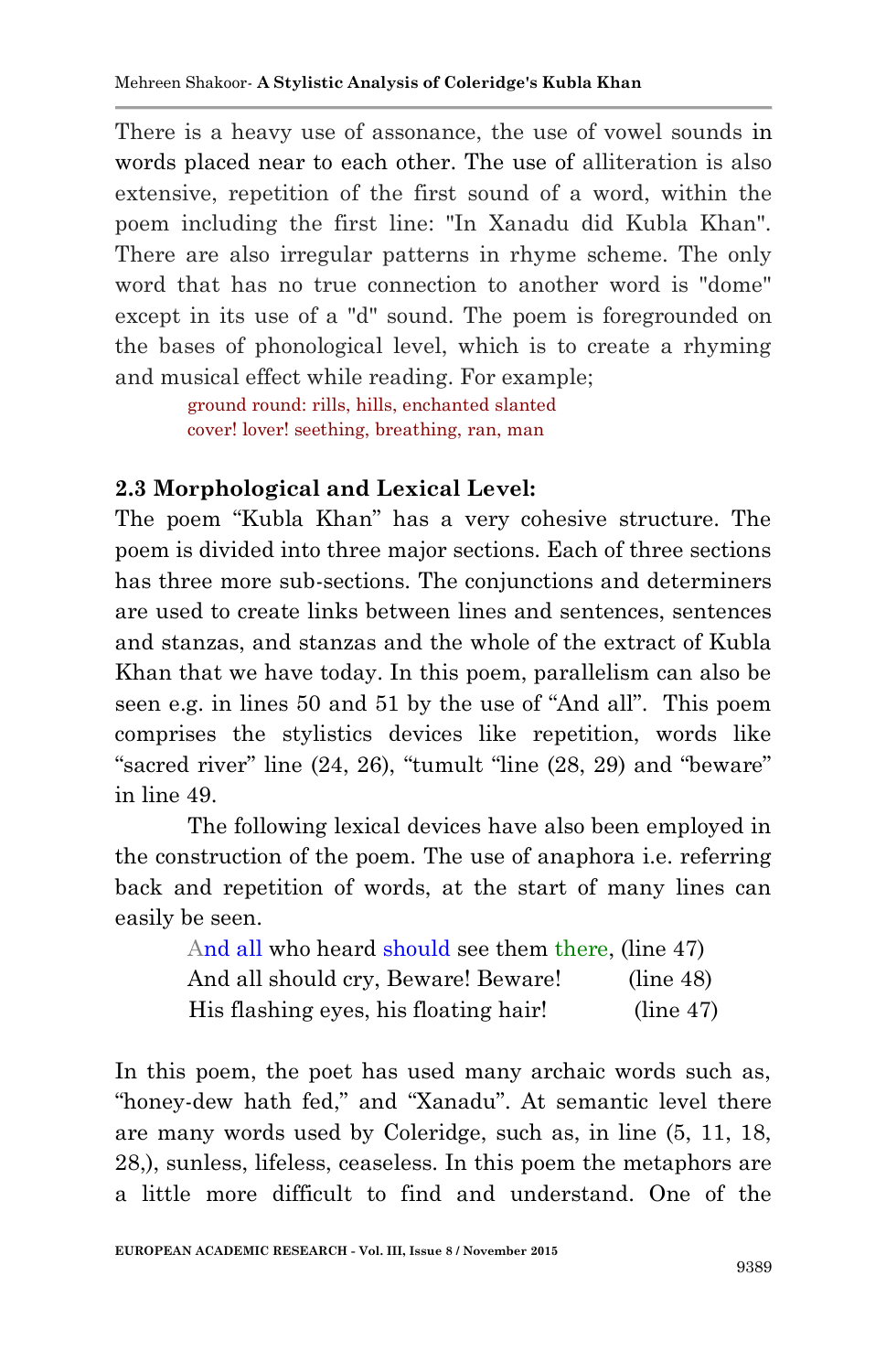There is a heavy use of assonance, the use of vowel sounds in words placed near to each other. The use of alliteration is also extensive, repetition of the first sound of a word, within the poem including the first line: "In Xanadu did Kubla Khan". There are also irregular patterns in rhyme scheme. The only word that has no true connection to another word is "dome" except in its use of a "d" sound. The poem is foregrounded on the bases of phonological level, which is to create a rhyming and musical effect while reading. For example;

> ground round: rills, hills, enchanted slanted cover! lover! seething, breathing, ran, man

### **2.3 Morphological and Lexical Level:**

The poem "Kubla Khan" has a very cohesive structure. The poem is divided into three major sections. Each of three sections has three more sub-sections. The conjunctions and determiners are used to create links between lines and sentences, sentences and stanzas, and stanzas and the whole of the extract of Kubla Khan that we have today. In this poem, parallelism can also be seen e.g. in lines 50 and 51 by the use of "And all". This poem comprises the stylistics devices like repetition, words like "sacred river" line (24, 26), "tumult "line (28, 29) and "beware" in line 49.

The following lexical devices have also been employed in the construction of the poem. The use of anaphora i.e. referring back and repetition of words, at the start of many lines can easily be seen.

| And all who heard should see them there, (line 47) |           |
|----------------------------------------------------|-----------|
| And all should cry, Beware! Beware!                | (line 48) |
| His flashing eyes, his floating hair!              | (line 47) |

In this poem, the poet has used many archaic words such as, "honey-dew hath fed," and "Xanadu". At semantic level there are many words used by Coleridge, such as, in line (5, 11, 18, 28,), sunless, lifeless, ceaseless. In this poem the metaphors are a little more difficult to find and understand. One of the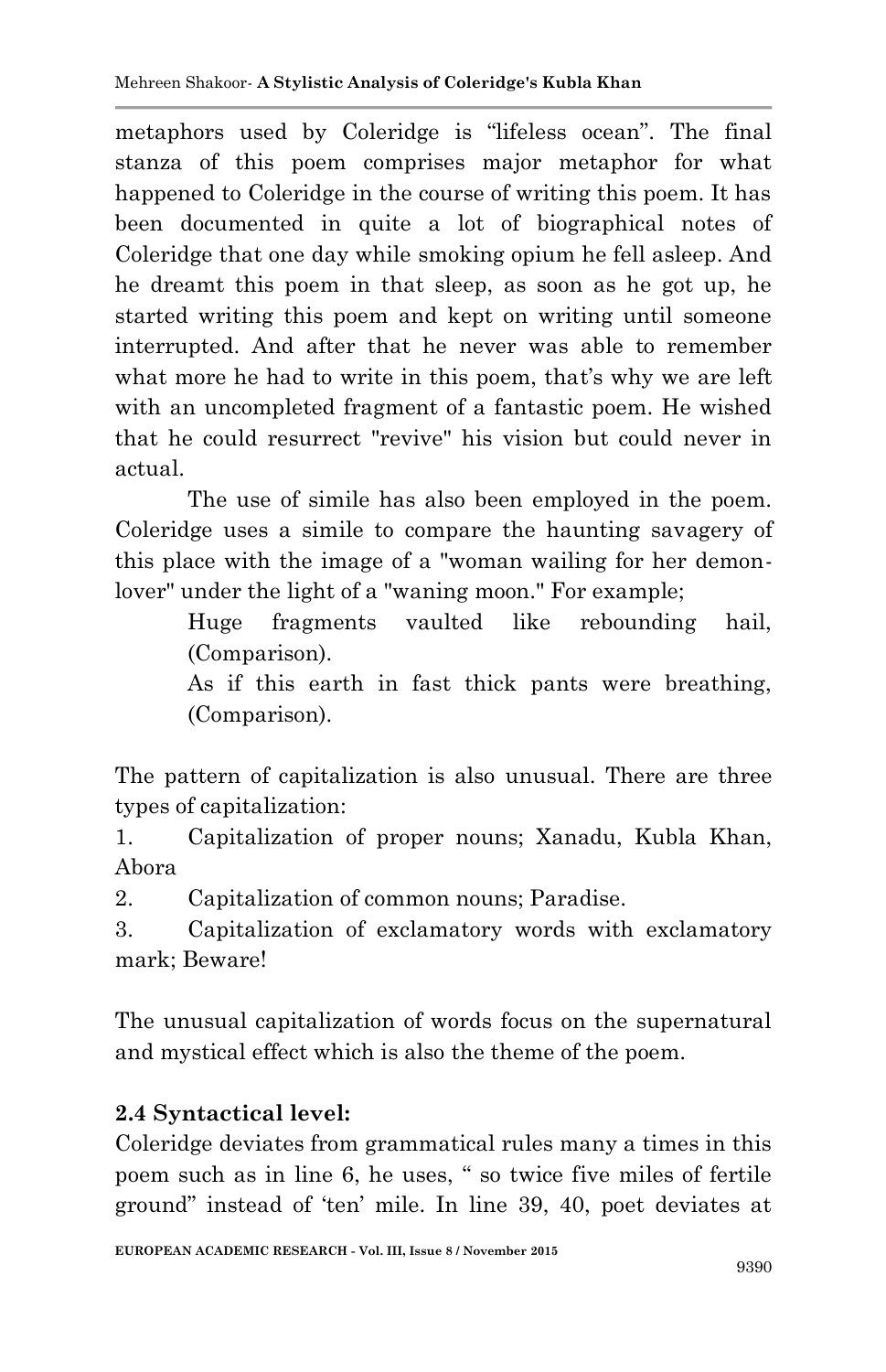metaphors used by Coleridge is "lifeless ocean". The final stanza of this poem comprises major metaphor for what happened to Coleridge in the course of writing this poem. It has been documented in quite a lot of biographical notes of Coleridge that one day while smoking opium he fell asleep. And he dreamt this poem in that sleep, as soon as he got up, he started writing this poem and kept on writing until someone interrupted. And after that he never was able to remember what more he had to write in this poem, that's why we are left with an uncompleted fragment of a fantastic poem. He wished that he could resurrect "revive" his vision but could never in actual.

The use of simile has also been employed in the poem. Coleridge uses a simile to compare the haunting savagery of this place with the image of a "woman wailing for her demonlover" under the light of a "waning moon." For example;

> Huge fragments vaulted like rebounding hail, (Comparison).

> As if this earth in fast thick pants were breathing, (Comparison).

The pattern of capitalization is also unusual. There are three types of capitalization:

1. Capitalization of proper nouns; Xanadu, Kubla Khan, Abora

2. Capitalization of common nouns; Paradise.

3. Capitalization of exclamatory words with exclamatory mark; Beware!

The unusual capitalization of words focus on the supernatural and mystical effect which is also the theme of the poem.

## **2.4 Syntactical level:**

Coleridge deviates from grammatical rules many a times in this poem such as in line 6, he uses, " so twice five miles of fertile ground" instead of "ten" mile. In line 39, 40, poet deviates at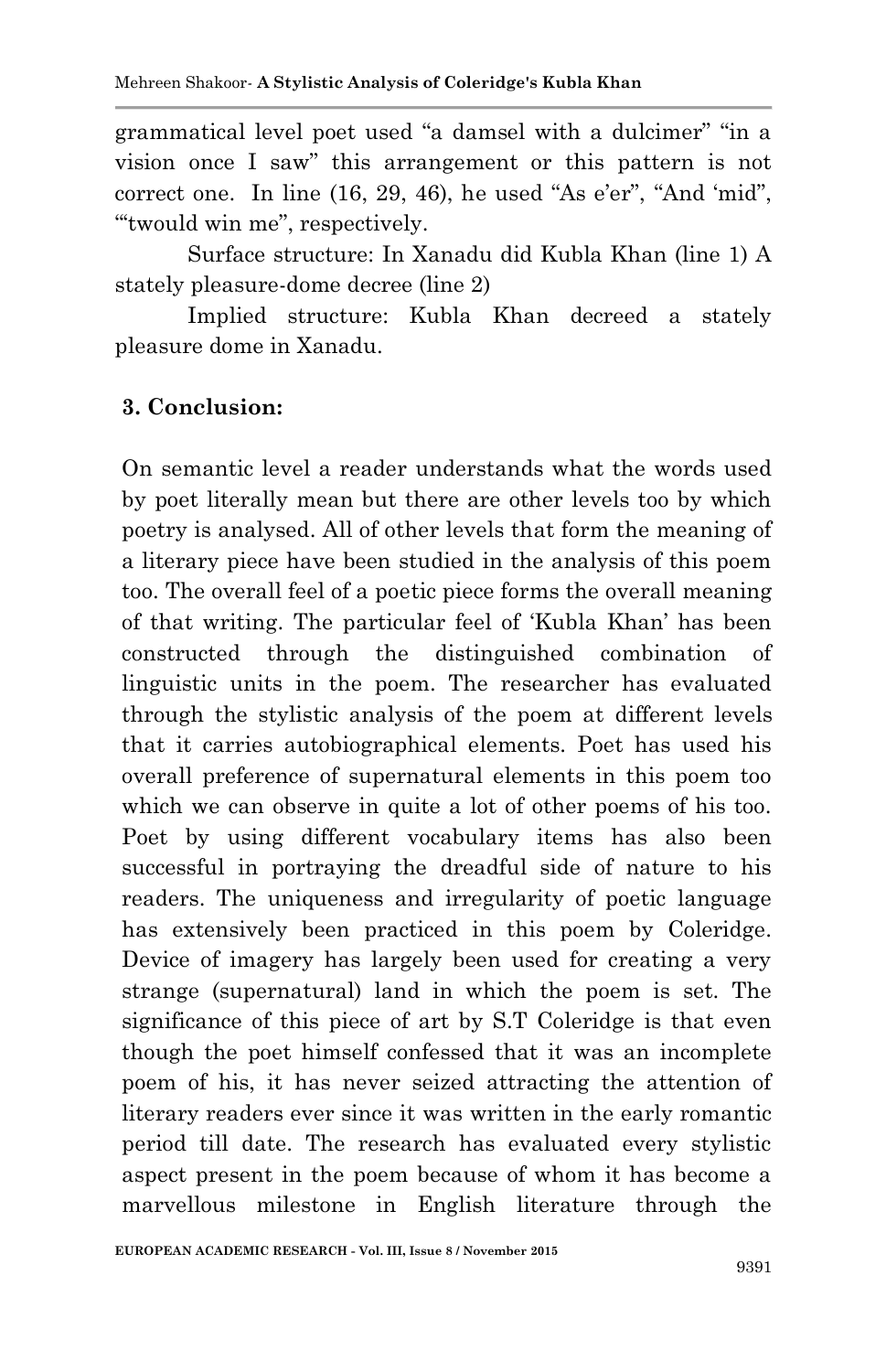grammatical level poet used "a damsel with a dulcimer" "in a vision once I saw" this arrangement or this pattern is not correct one. In line  $(16, 29, 46)$ , he used "As e'er", "And 'mid", ""twould win me", respectively.

Surface structure: In Xanadu did Kubla Khan (line 1) A stately pleasure-dome decree (line 2)

Implied structure: Kubla Khan decreed a stately pleasure dome in Xanadu.

### **3. Conclusion:**

On semantic level a reader understands what the words used by poet literally mean but there are other levels too by which poetry is analysed. All of other levels that form the meaning of a literary piece have been studied in the analysis of this poem too. The overall feel of a poetic piece forms the overall meaning of that writing. The particular feel of "Kubla Khan" has been constructed through the distinguished combination of linguistic units in the poem. The researcher has evaluated through the stylistic analysis of the poem at different levels that it carries autobiographical elements. Poet has used his overall preference of supernatural elements in this poem too which we can observe in quite a lot of other poems of his too. Poet by using different vocabulary items has also been successful in portraying the dreadful side of nature to his readers. The uniqueness and irregularity of poetic language has extensively been practiced in this poem by Coleridge. Device of imagery has largely been used for creating a very strange (supernatural) land in which the poem is set. The significance of this piece of art by S.T Coleridge is that even though the poet himself confessed that it was an incomplete poem of his, it has never seized attracting the attention of literary readers ever since it was written in the early romantic period till date. The research has evaluated every stylistic aspect present in the poem because of whom it has become a marvellous milestone in English literature through the